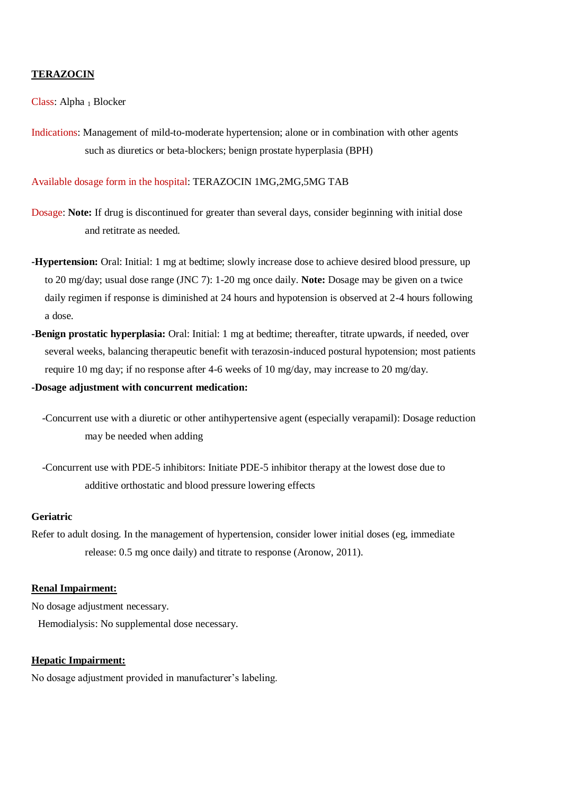### **TERAZOCIN**

Class: Alpha 1 Blocker

Indications: Management of mild-to-moderate hypertension; alone or in combination with other agents such as diuretics or beta-blockers; benign prostate hyperplasia (BPH)

Available dosage form in the hospital: TERAZOCIN 1MG,2MG,5MG TAB

- Dosage: **Note:** If drug is discontinued for greater than several days, consider beginning with initial dose and retitrate as needed.
- **-Hypertension:** Oral: Initial: 1 mg at bedtime; slowly increase dose to achieve desired blood pressure, up to 20 mg/day; usual dose range (JNC 7): 1-20 mg once daily. **Note:** Dosage may be given on a twice daily regimen if response is diminished at 24 hours and hypotension is observed at 2-4 hours following a dose.
- **-Benign prostatic hyperplasia:** Oral: Initial: 1 mg at bedtime; thereafter, titrate upwards, if needed, over several weeks, balancing therapeutic benefit with terazosin-induced postural hypotension; most patients require 10 mg day; if no response after 4-6 weeks of 10 mg/day, may increase to 20 mg/day*.*

**-Dosage adjustment with concurrent medication:**

- -Concurrent use with a diuretic or other antihypertensive agent (especially verapamil): Dosage reduction may be needed when adding
- *-*Concurrent use with PDE-5 inhibitors: Initiate PDE-5 inhibitor therapy at the lowest dose due to additive orthostatic and blood pressure lowering effects

## **Geriatric**

Refer to adult dosing. In the management of hypertension, consider lower initial doses (eg, immediate release: 0.5 mg once daily) and titrate to response (Aronow, 2011).

#### **Renal Impairment:**

No dosage adjustment necessary. Hemodialysis: No supplemental dose necessary.

## **Hepatic Impairment:**

No dosage adjustment provided in manufacturer's labeling.